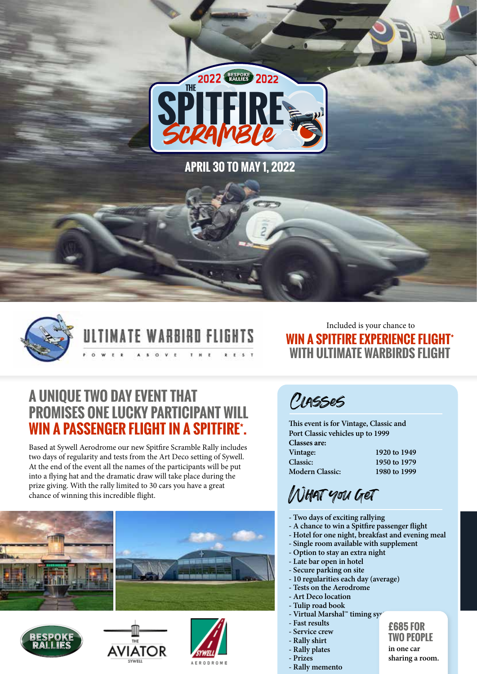

**APRIL 30 TO MAY 1, 2022**



ATE WARBIRD FLIGHTS

Included is your chance to **WIN A SPITFIRE EXPERIENCE FLIGHT\* WITH ULTIMATE WARBIRDS FLIGHT**

**OIEEE** 

### **A UNIQUE TWO DAY EVENT THAT PROMISES ONE LUCKY PARTICIPANT WILL WIN A PASSENGER FLIGHT IN A SPITFIRE\* .**

Based at Sywell Aerodrome our new Spitfire Scramble Rally includes two days of regularity and tests from the Art Deco setting of Sywell. At the end of the event all the names of the participants will be put into a flying hat and the dramatic draw will take place during the prize giving. With the rally limited to 30 cars you have a great chance of winning this incredible flight.









Classes

**Modern Classic:** 

**This event is for Vintage, Classic and Port Classic vehicles up to 1999 Classes are: Vintage:** 1920 to 1949<br> **Classic:** 1950 to 1979

**Classic: 1950 to 1979**

What you get

- **Two days of exciting rallying**
- **A chance to win a Spitfire passenger flight**
- **Hotel for one night, breakfast and evening meal**
- **Single room available with supplement**
- **Option to stay an extra night**
- **Late bar open in hotel**
- **Secure parking on site**
- **10 regularities each day (average)**
- **Tests on the Aerodrome**
- **Art Deco location - Tulip road book**
- **Virtual Marshal™ timing systema**
- **Fast results**
- **Service crew**
- **Rally shirt**
- **Rally plates**
- **Prizes**
- **Rally memento**
- **£685 FOR TWO PEOPLE in one car**

**sharing a room.**